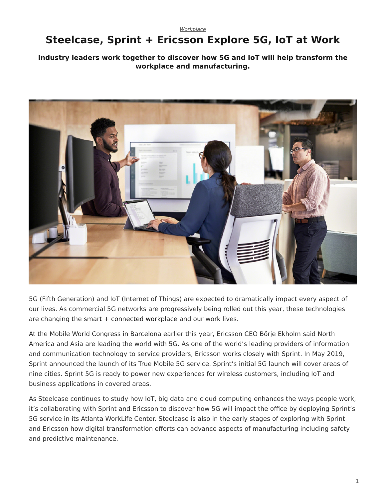[Workplace](https://www.steelcase.com/research/topics/workplace/)

## <span id="page-0-0"></span>**Steelcase, Sprint + Ericsson Explore 5G, IoT at Work**

#### **Industry leaders work together to discover how 5G and IoT will help transform the workplace and manufacturing.**



5G (Fifth Generation) and IoT (Internet of Things) are expected to dramatically impact every aspect of our lives. As commercial 5G networks are progressively being rolled out this year, these technologies are changing the  $smart + connected$  workplace and our work lives.

At the Mobile World Congress in Barcelona earlier this year, Ericsson CEO Börje Ekholm said North America and Asia are leading the world with 5G. As one of the world's leading providers of information and communication technology to service providers, Ericsson works closely with Sprint. In May 2019, Sprint announced the launch of its True Mobile 5G service. Sprint's initial 5G launch will cover areas of nine cities. Sprint 5G is ready to power new experiences for wireless customers, including IoT and business applications in covered areas.

As Steelcase continues to study how IoT, big data and cloud computing enhances the ways people work, it's collaborating with Sprint and Ericsson to discover how 5G will impact the office by deploying Sprint's 5G service in its Atlanta WorkLife Center. Steelcase is also in the early stages of exploring with Sprint and Ericsson how digital transformation efforts can advance aspects of manufacturing including safety and predictive maintenance.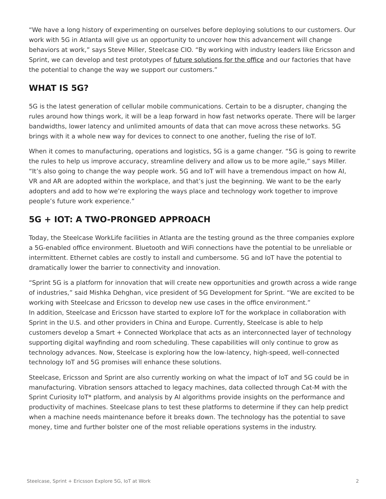"We have a long history of experimenting on ourselves before deploying solutions to our customers. Our work with 5G in Atlanta will give us an opportunity to uncover how this advancement will change behaviors at work," says Steve Miller, Steelcase CIO. "By working with industry leaders like Ericsson and Sprint, we can develop and test prototypes of [future solutions for the office](https://www.steelcase.com/products/technology/) and our factories that have the potential to change the way we support our customers."

### **WHAT IS 5G?**

5G is the latest generation of cellular mobile communications. Certain to be a disrupter, changing the rules around how things work, it will be a leap forward in how fast networks operate. There will be larger bandwidths, lower latency and unlimited amounts of data that can move across these networks. 5G brings with it a whole new way for devices to connect to one another, fueling the rise of IoT.

When it comes to manufacturing, operations and logistics, 5G is a game changer. "5G is going to rewrite the rules to help us improve accuracy, streamline delivery and allow us to be more agile," says Miller. "It's also going to change the way people work. 5G and IoT will have a tremendous impact on how AI, VR and AR are adopted within the workplace, and that's just the beginning. We want to be the early adopters and add to how we're exploring the ways place and technology work together to improve people's future work experience."

## **5G + IOT: A TWO-PRONGED APPROACH**

Today, the Steelcase WorkLife facilities in Atlanta are the testing ground as the three companies explore a 5G-enabled office environment. Bluetooth and WiFi connections have the potential to be unreliable or intermittent. Ethernet cables are costly to install and cumbersome. 5G and IoT have the potential to dramatically lower the barrier to connectivity and innovation.

"Sprint 5G is a platform for innovation that will create new opportunities and growth across a wide range of industries," said Mishka Dehghan, vice president of 5G Development for Sprint. "We are excited to be working with Steelcase and Ericsson to develop new use cases in the office environment." In addition, Steelcase and Ericsson have started to explore IoT for the workplace in collaboration with Sprint in the U.S. and other providers in China and Europe. Currently, Steelcase is able to help customers develop a Smart + Connected Workplace that acts as an interconnected layer of technology supporting digital wayfinding and room scheduling. These capabilities will only continue to grow as technology advances. Now, Steelcase is exploring how the low-latency, high-speed, well-connected technology IoT and 5G promises will enhance these solutions.

Steelcase, Ericsson and Sprint are also currently working on what the impact of IoT and 5G could be in manufacturing. Vibration sensors attached to legacy machines, data collected through Cat-M with the Sprint Curiosity IoT\* platform, and analysis by AI algorithms provide insights on the performance and productivity of machines. Steelcase plans to test these platforms to determine if they can help predict when a machine needs maintenance before it breaks down. The technology has the potential to save money, time and further bolster one of the most reliable operations systems in the industry.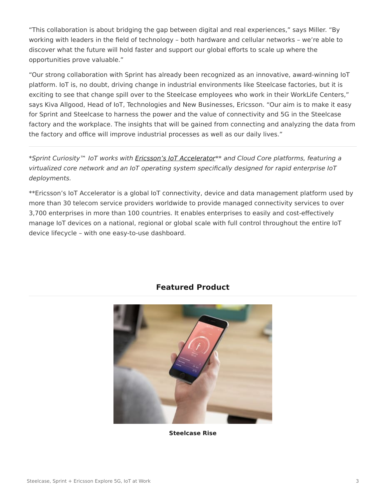"This collaboration is about bridging the gap between digital and real experiences," says Miller. "By working with leaders in the field of technology – both hardware and cellular networks – we're able to discover what the future will hold faster and support our global efforts to scale up where the opportunities prove valuable."

"Our strong collaboration with Sprint has already been recognized as an innovative, award-winning IoT platform. IoT is, no doubt, driving change in industrial environments like Steelcase factories, but it is exciting to see that change spill over to the Steelcase employees who work in their WorkLife Centers," says Kiva Allgood, Head of IoT, Technologies and New Businesses, Ericsson. "Our aim is to make it easy for Sprint and Steelcase to harness the power and the value of connectivity and 5G in the Steelcase factory and the workplace. The insights that will be gained from connecting and analyzing the data from the factory and office will improve industrial processes as well as our daily lives."

\*Sprint Curiosity™ IoT works with [Ericsson's IoT Accelerator\\*](https://www.ericsson.com/en/internet-of-things/iot-platform)\* and Cloud Core platforms, featuring a virtualized core network and an IoT operating system specifically designed for rapid enterprise IoT deployments.

\*\*Ericsson's IoT Accelerator is a global IoT connectivity, device and data management platform used by more than 30 telecom service providers worldwide to provide managed connectivity services to over 3,700 enterprises in more than 100 countries. It enables enterprises to easily and cost-effectively manage IoT devices on a national, regional or global scale with full control throughout the entire IoT device lifecycle – with one easy-to-use dashboard.



#### **Featured Product**

**[Steelcase Rise](https://www.steelcase.com/products/apps/steelcase-rise/)**